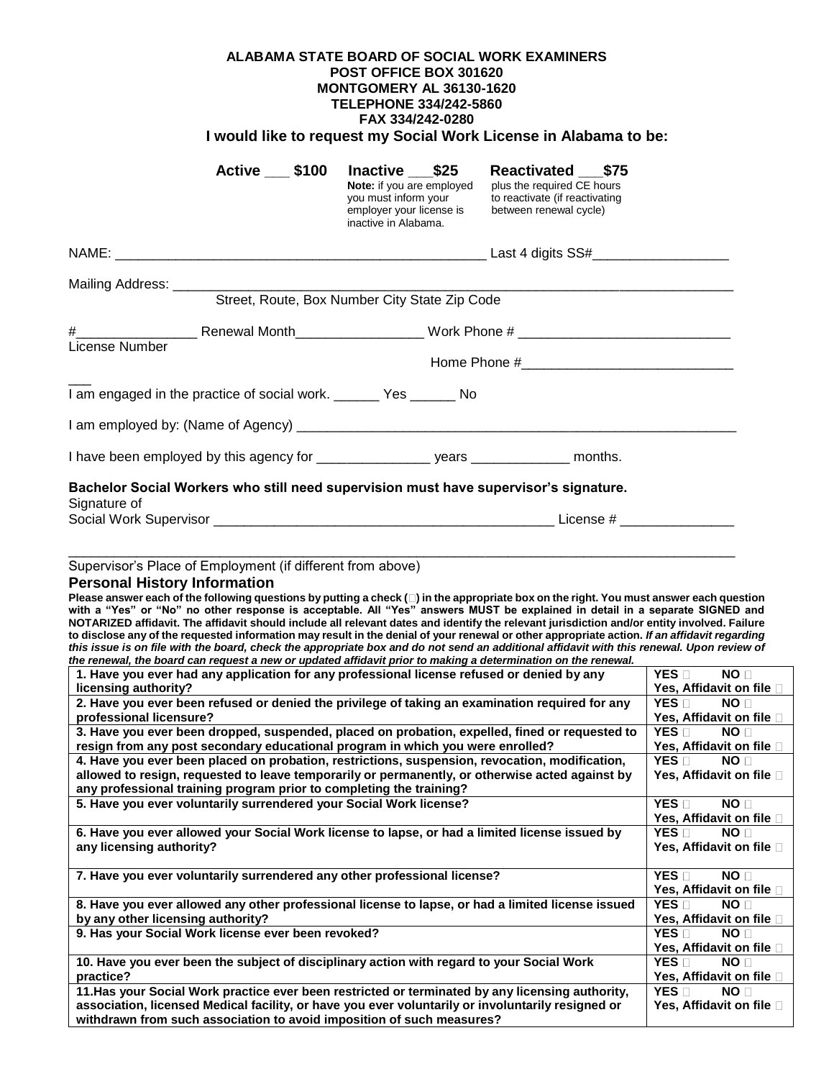## **ALABAMA STATE BOARD OF SOCIAL WORK EXAMINERS POST OFFICE BOX 301620 MONTGOMERY AL 36130-1620 TELEPHONE 334/242-5860 FAX 334/242-0280 I would like to request my Social Work License in Alabama to be:**

|                | <b>Active 100</b>                       | Inactive \$25<br><b>Note:</b> if you are employed<br>you must inform your<br>employer your license is<br>inactive in Alabama. | Reactivated \$75<br>plus the required CE hours<br>to reactivate (if reactivating<br>between renewal cycle) |  |
|----------------|-----------------------------------------|-------------------------------------------------------------------------------------------------------------------------------|------------------------------------------------------------------------------------------------------------|--|
|                |                                         |                                                                                                                               |                                                                                                            |  |
|                | Mailing Address: ______________________ | Street, Route, Box Number City State Zip Code                                                                                 |                                                                                                            |  |
| License Number |                                         |                                                                                                                               |                                                                                                            |  |
|                |                                         | I am engaged in the practice of social work. _______ Yes ______ No                                                            |                                                                                                            |  |
|                |                                         |                                                                                                                               |                                                                                                            |  |
|                |                                         |                                                                                                                               |                                                                                                            |  |
| Signature of   |                                         | Bachelor Social Workers who still need supervision must have supervisor's signature.                                          |                                                                                                            |  |
|                |                                         |                                                                                                                               |                                                                                                            |  |

### Supervisor's Place of Employment (if different from above)

### **Personal History Information**

**Please answer each of the following questions by putting a check ( ) in the appropriate box on the right. You must answer each question with a "Yes" or "No" no other response is acceptable. All "Yes" answers MUST be explained in detail in a separate SIGNED and NOTARIZED affidavit. The affidavit should include all relevant dates and identify the relevant jurisdiction and/or entity involved. Failure to disclose any of the requested information may result in the denial of your renewal or other appropriate action.** *If an affidavit regarding this issue is on file with the board, check the appropriate box and do not send an additional affidavit with this renewal. Upon review of the renewal, the board can request a new or updated affidavit prior to making a determination on the renewal.* 

| io ronomal, and board oan roquest a non-or-apauted annuavit prior to maning a uctermination on the renomal. |                                 |
|-------------------------------------------------------------------------------------------------------------|---------------------------------|
| 1. Have you ever had any application for any professional license refused or denied by any                  | NO <sub>1</sub><br>YES <b>□</b> |
| licensing authority?                                                                                        | Yes, Affidavit on file          |
| 2. Have you ever been refused or denied the privilege of taking an examination required for any             | YES <b>IT</b><br>NO <b>D</b>    |
| professional licensure?                                                                                     | Yes, Affidavit on file □        |
| 3. Have you ever been dropped, suspended, placed on probation, expelled, fined or requested to              | $YES \sqcap$<br>NO <sub>1</sub> |
| resign from any post secondary educational program in which you were enrolled?                              | Yes, Affidavit on file □        |
| 4. Have you ever been placed on probation, restrictions, suspension, revocation, modification,              | YES <b>n</b><br>NO <sub>1</sub> |
| allowed to resign, requested to leave temporarily or permanently, or otherwise acted against by             | Yes, Affidavit on file □        |
| any professional training program prior to completing the training?                                         |                                 |
| 5. Have you ever voluntarily surrendered your Social Work license?                                          | YES <b>n</b><br>NO <b>n</b>     |
|                                                                                                             | Yes, Affidavit on file □        |
| 6. Have you ever allowed your Social Work license to lapse, or had a limited license issued by              | $YES \sqcap$<br>NO <sub>1</sub> |
| any licensing authority?                                                                                    | Yes, Affidavit on file □        |
|                                                                                                             |                                 |
| 7. Have you ever voluntarily surrendered any other professional license?                                    | YES <b>IT</b><br>NO <b>D</b>    |
|                                                                                                             | Yes, Affidavit on file □        |
| 8. Have you ever allowed any other professional license to lapse, or had a limited license issued           | YES <b>□</b><br>NO <sub>1</sub> |
| by any other licensing authority?                                                                           | Yes, Affidavit on file □        |
| 9. Has your Social Work license ever been revoked?                                                          | YES <b>n</b><br>NO <sub>1</sub> |
|                                                                                                             | Yes, Affidavit on file □        |
| 10. Have you ever been the subject of disciplinary action with regard to your Social Work                   | YES ⊟<br>NO <sub>1</sub>        |
| practice?                                                                                                   | Yes, Affidavit on file □        |
| 11. Has your Social Work practice ever been restricted or terminated by any licensing authority,            | YES ⊟<br>NO <sub>1</sub>        |
| association, licensed Medical facility, or have you ever voluntarily or involuntarily resigned or           | Yes, Affidavit on file □        |
| withdrawn from such association to avoid imposition of such measures?                                       |                                 |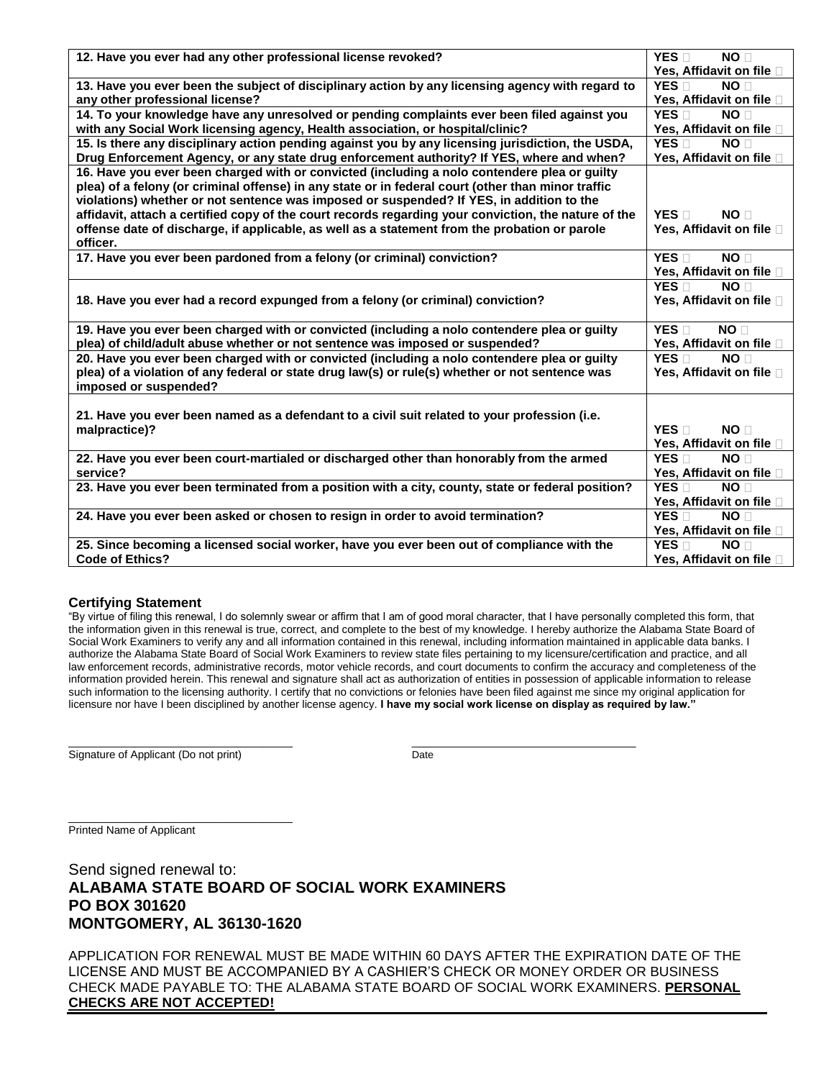| 12. Have you ever had any other professional license revoked?                                        | YES <sub>[1</sub> ]<br>NO <sub>D</sub><br>Yes, Affidavit on file |
|------------------------------------------------------------------------------------------------------|------------------------------------------------------------------|
|                                                                                                      |                                                                  |
| 13. Have you ever been the subject of disciplinary action by any licensing agency with regard to     | YES <b>n</b><br>NO <sub>1</sub>                                  |
| any other professional license?                                                                      | Yes, Affidavit on file [                                         |
| 14. To your knowledge have any unresolved or pending complaints ever been filed against you          | YES D<br>NO <sub>1</sub>                                         |
| with any Social Work licensing agency, Health association, or hospital/clinic?                       | Yes, Affidavit on file                                           |
| 15. Is there any disciplinary action pending against you by any licensing jurisdiction, the USDA,    | YES D<br>NO <sub>[]</sub>                                        |
| Drug Enforcement Agency, or any state drug enforcement authority? If YES, where and when?            | Yes, Affidavit on file                                           |
| 16. Have you ever been charged with or convicted (including a nolo contendere plea or guilty         |                                                                  |
| plea) of a felony (or criminal offense) in any state or in federal court (other than minor traffic   |                                                                  |
| violations) whether or not sentence was imposed or suspended? If YES, in addition to the             |                                                                  |
| affidavit, attach a certified copy of the court records regarding your conviction, the nature of the | YES <b>n</b><br>NO <sub>1</sub>                                  |
| offense date of discharge, if applicable, as well as a statement from the probation or parole        | Yes, Affidavit on file                                           |
| officer.                                                                                             |                                                                  |
| 17. Have you ever been pardoned from a felony (or criminal) conviction?                              | YES <sub>[1</sub> ]<br>NO <sub>D</sub>                           |
|                                                                                                      | Yes, Affidavit on file □                                         |
|                                                                                                      | YES <sub>[1</sub><br>NO <sub>[</sub>                             |
| 18. Have you ever had a record expunged from a felony (or criminal) conviction?                      | Yes, Affidavit on file                                           |
|                                                                                                      |                                                                  |
| 19. Have you ever been charged with or convicted (including a nolo contendere plea or guilty         | <b>YES</b> $\overline{\Pi}$<br>NO <sub>[]</sub>                  |
| plea) of child/adult abuse whether or not sentence was imposed or suspended?                         | Yes, Affidavit on file □                                         |
| 20. Have you ever been charged with or convicted (including a nolo contendere plea or guilty         | YES <sub>[1</sub><br>NO <sub>1</sub>                             |
| plea) of a violation of any federal or state drug law(s) or rule(s) whether or not sentence was      | Yes, Affidavit on file                                           |
| imposed or suspended?                                                                                |                                                                  |
|                                                                                                      |                                                                  |
| 21. Have you ever been named as a defendant to a civil suit related to your profession (i.e.         |                                                                  |
| malpractice)?                                                                                        | $YES \Box$<br>NO <sub>[]</sub>                                   |
|                                                                                                      | Yes, Affidavit on file                                           |
| 22. Have you ever been court-martialed or discharged other than honorably from the armed             | YES <sub>[1</sub> ]<br>NO <sub>1</sub>                           |
| service?                                                                                             | Yes, Affidavit on file                                           |
| 23. Have you ever been terminated from a position with a city, county, state or federal position?    | YES <sub>[1</sub> ]<br>NO <sub>1</sub>                           |
|                                                                                                      | Yes, Affidavit on file [                                         |
| 24. Have you ever been asked or chosen to resign in order to avoid termination?                      | YES<br>NO <sub>1</sub>                                           |
|                                                                                                      | Yes, Affidavit on file                                           |
| 25. Since becoming a licensed social worker, have you ever been out of compliance with the           | YES <b>T</b><br>NO <sub>1</sub>                                  |
| <b>Code of Ethics?</b>                                                                               | Yes, Affidavit on file □                                         |
|                                                                                                      |                                                                  |

### **Certifying Statement**

"By virtue of filing this renewal, I do solemnly swear or affirm that I am of good moral character, that I have personally completed this form, that the information given in this renewal is true, correct, and complete to the best of my knowledge. I hereby authorize the Alabama State Board of Social Work Examiners to verify any and all information contained in this renewal, including information maintained in applicable data banks. I authorize the Alabama State Board of Social Work Examiners to review state files pertaining to my licensure/certification and practice, and all law enforcement records, administrative records, motor vehicle records, and court documents to confirm the accuracy and completeness of the information provided herein. This renewal and signature shall act as authorization of entities in possession of applicable information to release such information to the licensing authority. I certify that no convictions or felonies have been filed against me since my original application for licensure nor have I been disciplined by another license agency. **I have my social work license on display as required by law."** 

\_\_\_\_\_\_\_\_\_\_\_\_\_\_\_\_\_\_\_\_\_\_\_\_\_\_\_\_\_\_\_\_\_\_\_\_\_ \_\_\_\_\_\_\_\_\_\_\_\_\_\_\_\_\_\_\_\_\_\_\_\_\_\_\_\_\_\_\_\_\_\_\_\_\_ Signature of Applicant (Do not print) Date

\_\_\_\_\_\_\_\_\_\_\_\_\_\_\_\_\_\_\_\_\_\_\_\_\_\_\_\_\_\_\_\_\_\_\_\_\_

Printed Name of Applicant

Send signed renewal to: **ALABAMA STATE BOARD OF SOCIAL WORK EXAMINERS PO BOX 301620 MONTGOMERY, AL 36130-1620**

APPLICATION FOR RENEWAL MUST BE MADE WITHIN 60 DAYS AFTER THE EXPIRATION DATE OF THE LICENSE AND MUST BE ACCOMPANIED BY A CASHIER'S CHECK OR MONEY ORDER OR BUSINESS CHECK MADE PAYABLE TO: THE ALABAMA STATE BOARD OF SOCIAL WORK EXAMINERS. **PERSONAL CHECKS ARE NOT ACCEPTED!**